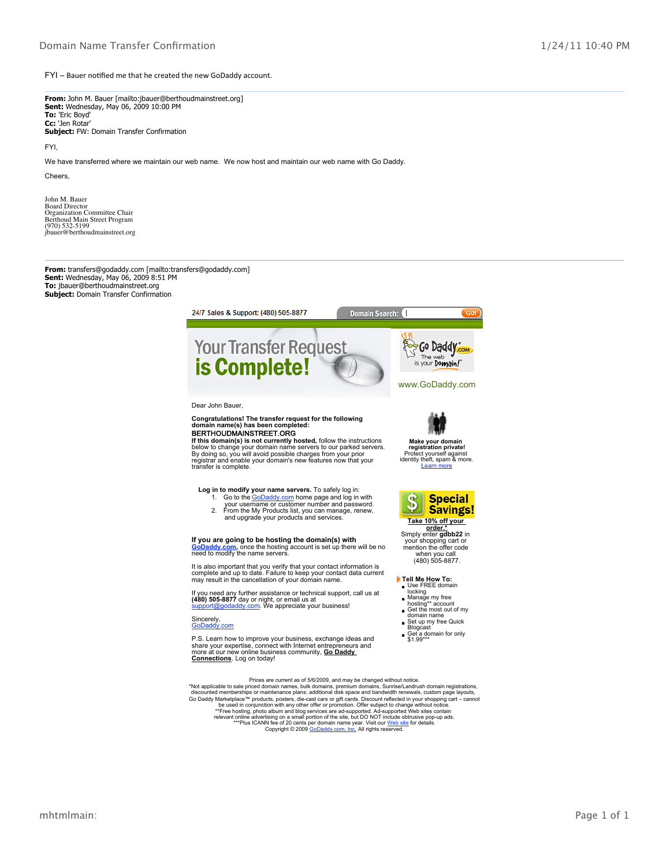FYI - Bauer notified me that he created the new GoDaddy account.

**From:** John M. Bauer [mailto:jbauer@berthoudmainstreet.org] **Sent:** Wednesday, May 06, 2009 10:00 PM 'Eric Boyd' **To:** 'Jen Rotar' **Cc:** Subject: FW: Domain Transfer Confirmation

FYI,

We have transferred where we maintain our web name. We now host and maintain our web name with Go Daddy.

Cheers,

John M. Bauer Board Director Organization Committee Chair Berthoud Main Street Program (970) 532-5199 jbauer@berthoudmainstreet.org